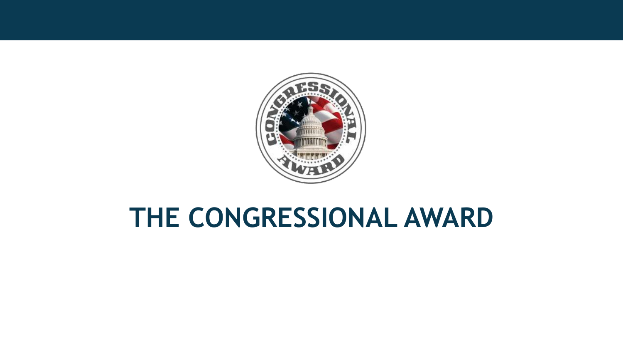

# **THE CONGRESSIONAL AWARD**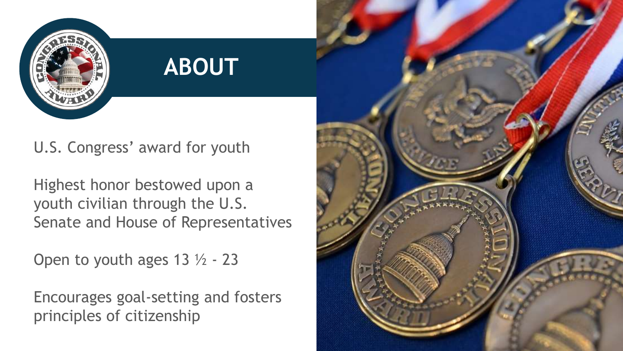

## U.S. Congress' award for youth

Highest honor bestowed upon a youth civilian through the U.S. Senate and House of Representatives

**ABOUT**

Open to youth ages 13 ½ - 23

Encourages goal-setting and fosters principles of citizenship

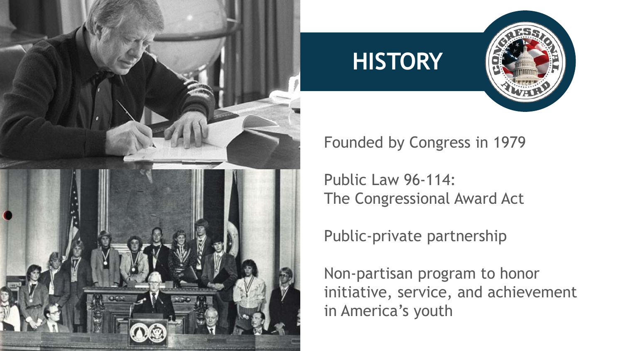

## **HISTORY**



### Founded by Congress in 1979

Public Law 96-114: The Congressional Award Act

Public-private partnership

Non-partisan program to honor initiative, service, and achievement in America's youth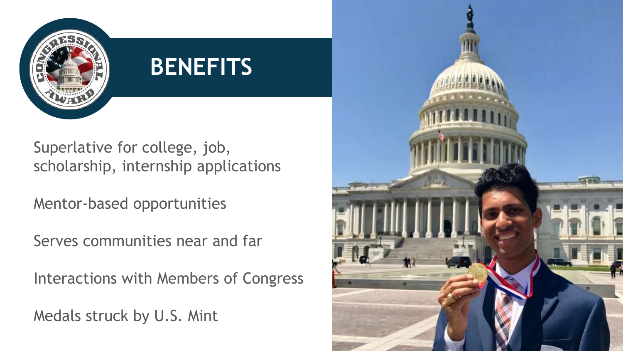

# **BENEFITS**

Superlative for college, job, scholarship, internship applications

Mentor-based opportunities

Serves communities near and far

Interactions with Members of Congress

Medals struck by U.S. Mint

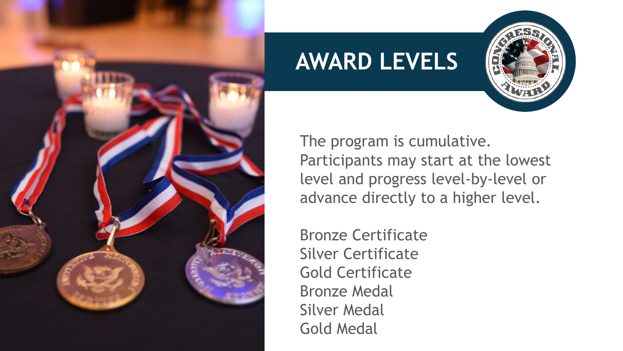

## **AWARD LEVELS**



The program is cumulative. Participants may start at the lowest level and progress level-by-level or advance directly to a higher level.

Bronze Certificate Silver Certificate Gold Certificate Bronze Medal Silver Medal Gold Medal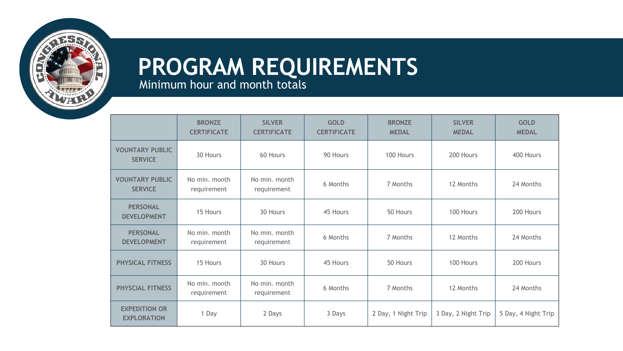### **PROGRAM REQUIREMENTS** Minimum hour and month totals

**BRONZE CERTIFICATE SILVER CERTIFICATE GOLD CERTIFICATE BRONZE MEDAL SILVER MEDAL GOLD MEDAL VOUNTARY PUBLIC SERVICE** 30 Hours 60 Hours 90 Hours 100 Hours 200 Hours 400 Hours<br>SERVICE **VOUNTARY PUBLIC SERVICE** No min. month requirement No min. month e minimum in the control of Months 12 Months 12 Months 24 Months 24 Months 24 Months 25 Months 25 Months 25 Months 25 Months 25 Months 25 Months 25 Months 25 Months 25 Months 25 Months 25 Months 25 Months 25 Months 25 Mont **PERSONAL DEVELOPMENT** 15 Hours 30 Hours 45 Hours 50 Hours 100 Hours 200 Hours **PERSONAL DEVELOPMENT** No min. month requirement No min. month e minimum in the control of Months 12 Months 12 Months 24 Months 24 Months 24 Months 25 Months 25 Months 25 Months 25 Months 25 Months 25 Months 25 Months 25 Months 25 Months 25 Months 25 Months 25 Months 25 Months 25 Mont **PHYSICAL FITNESS** 15 Hours 15 Hours 100 Hours 150 Hours 100 Hours 100 Hours 200 Hours **PHYSCIAL FITNESS** No min. month requirement No min. month e minimum in the control of Months 12 Months 12 Months 24 Months 24 Months 24 Months 25 Months 25 Months 25 Months 25 Months 25 Months 25 Months 25 Months 25 Months 25 Months 25 Months 25 Months 25 Months 25 Months 25 Mont **EXPEDITION OR EXPLORATION** 1 Day 2 Days 3 Days 2 Day, 1 Night Trip 3 Day, 2 Night Trip 5 Day, 4 Night Trip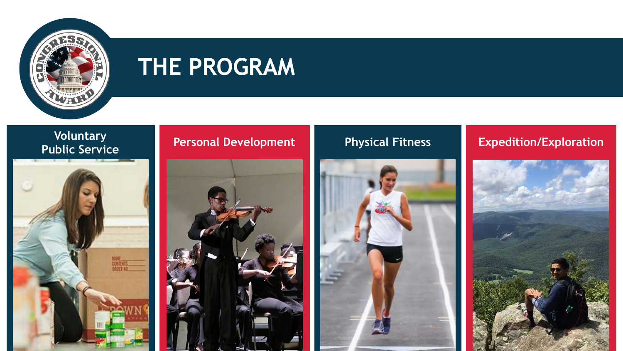

## **THE PROGRAM**

# **Voluntary**



#### **Personal Development Physical Fitness Expedition/Exploration**





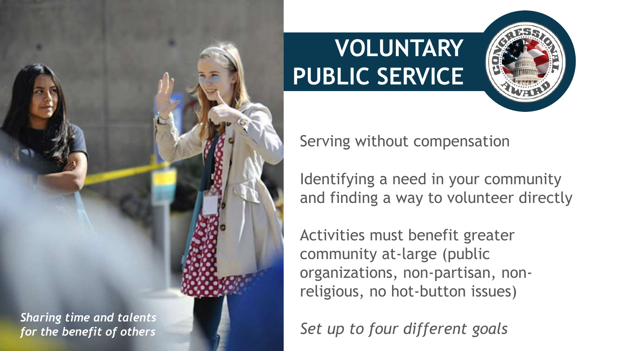

# **VOLUNTARY PUBLIC SERVICE**



Serving without compensation

Identifying a need in your community and finding a way to volunteer directly

Activities must benefit greater community at-large (public organizations, non-partisan, nonreligious, no hot-button issues)

*Set up to four different goals*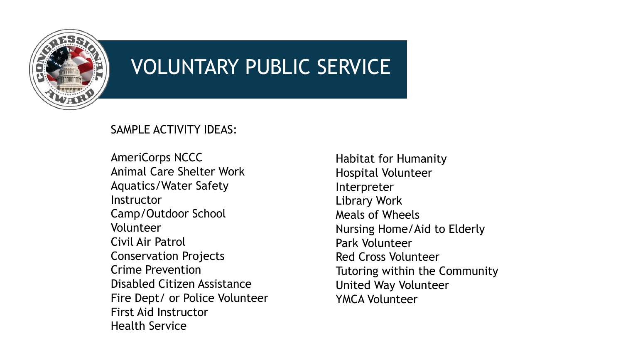

## VOLUNTARY PUBLIC SERVICE

#### SAMPLE ACTIVITY IDEAS:

AmeriCorps NCCC Animal Care Shelter Work Aquatics/Water Safety Instructor Camp/Outdoor School Volunteer Civil Air Patrol Conservation Projects Crime Prevention Disabled Citizen Assistance Fire Dept/ or Police Volunteer First Aid Instructor Health Service

Habitat for Humanity Hospital Volunteer Interpreter Library Work Meals of Wheels Nursing Home/Aid to Elderly Park Volunteer Red Cross Volunteer Tutoring within the Community United Way Volunteer YMCA Volunteer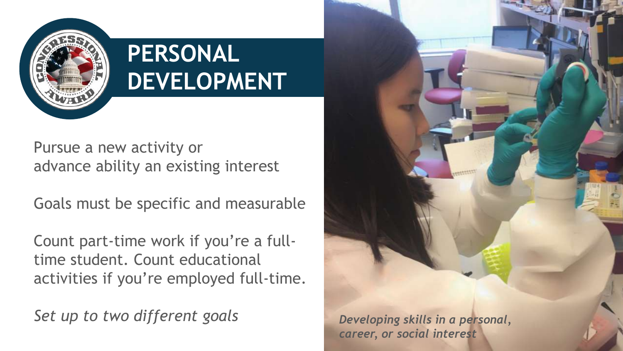

# **PERSONAL DEVELOPMENT**

Pursue a new activity or advance ability an existing interest

Goals must be specific and measurable

Count part-time work if you're a fulltime student. Count educational activities if you're employed full-time.

*Set up to two different goals Developing skills in a personal,*

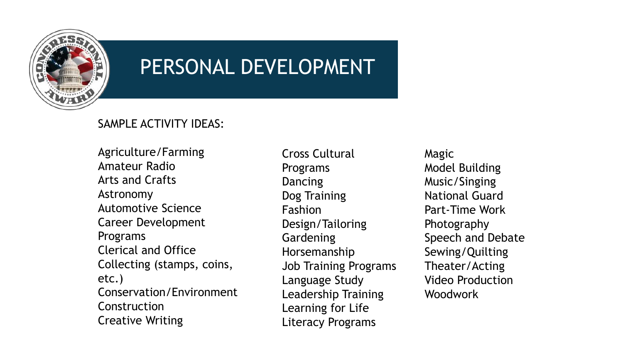

## PERSONAL DEVELOPMENT

#### SAMPLE ACTIVITY IDEAS:

Agriculture/Farming Amateur Radio Arts and Crafts Astronomy Automotive Science Career Development Programs Clerical and Office Collecting (stamps, coins, etc.) Conservation/Environment **Construction** Creative Writing

Cross Cultural Programs **Dancing** Dog Training Fashion Design/Tailoring Gardening Horsemanship Job Training Programs Language Study Leadership Training Learning for Life Literacy Programs

Magic Model Building Music/Singing National Guard Part-Time Work Photography Speech and Debate Sewing/Quilting Theater/Acting Video Production Woodwork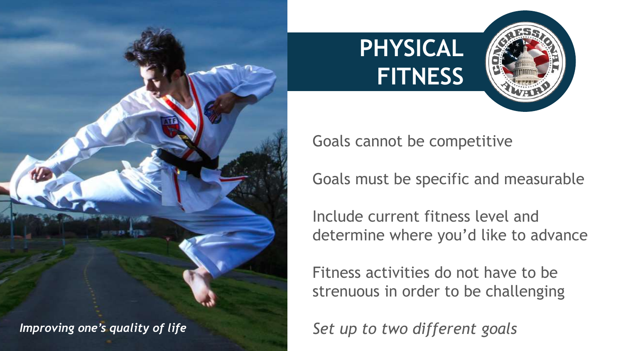





Goals cannot be competitive

Goals must be specific and measurable

Include current fitness level and determine where you'd like to advance

Fitness activities do not have to be strenuous in order to be challenging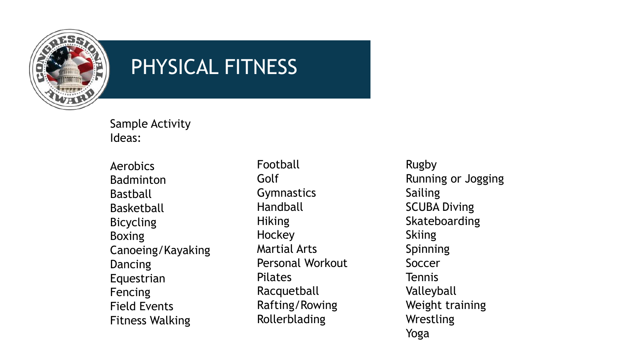

## PHYSICAL FITNESS

Sample Activity Ideas:

Aerobics Badminton Bastball Basketball Bicycling Boxing Canoeing/Kayaking **Dancing** Equestrian **Fencing** Field Events Fitness Walking

Football Golf **Gymnastics** Handball **Hiking** Hockey Martial Arts Personal Workout Pilates Racquetball Rafting/Rowing Rollerblading

Rugby Running or Jogging Sailing SCUBA Diving Skateboarding **Skiing** Spinning Soccer Tennis Valleyball Weight training Wrestling Yoga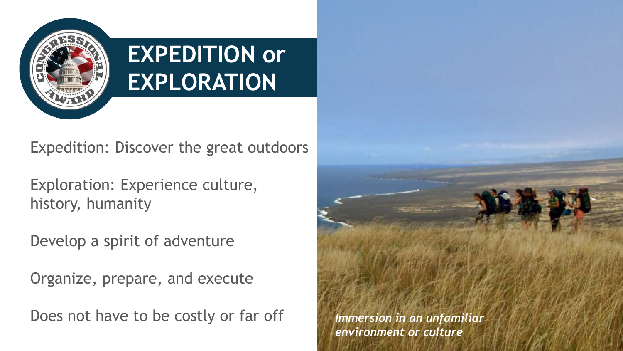

# **EXPEDITION or EXPLORATION**

Expedition: Discover the great outdoors

Exploration: Experience culture, history, humanity

Develop a spirit of adventure

Organize, prepare, and execute

Does not have to be costly or far off *Immersion in an unfamiliar*

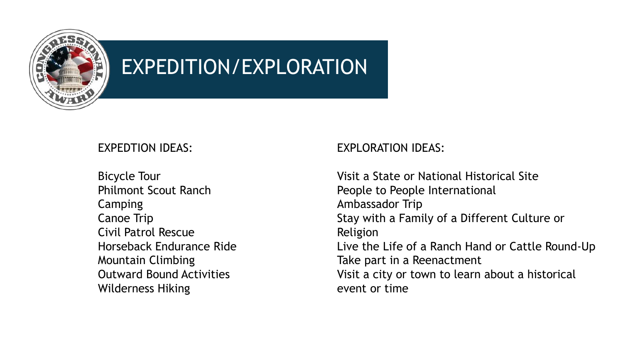

## EXPEDITION/EXPLORATION

#### EXPEDTION IDEAS:

Bicycle Tour Philmont Scout Ranch Camping Canoe Trip Civil Patrol Rescue Horseback Endurance Ride Mountain Climbing Outward Bound Activities Wilderness Hiking

#### EXPLORATION IDEAS:

Visit a State or National Historical Site People to People International Ambassador Trip Stay with a Family of a Different Culture or Religion Live the Life of a Ranch Hand or Cattle Round-Up Take part in a Reenactment Visit a city or town to learn about a historical event or time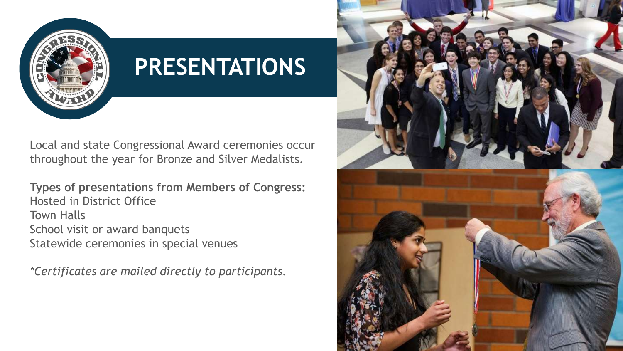

# **PRESENTATIONS**

Local and state Congressional Award ceremonies occur throughout the year for Bronze and Silver Medalists.

**Types of presentations from Members of Congress:** Hosted in District Office Town Halls School visit or award banquets Statewide ceremonies in special venues

*\*Certificates are mailed directly to participants.*

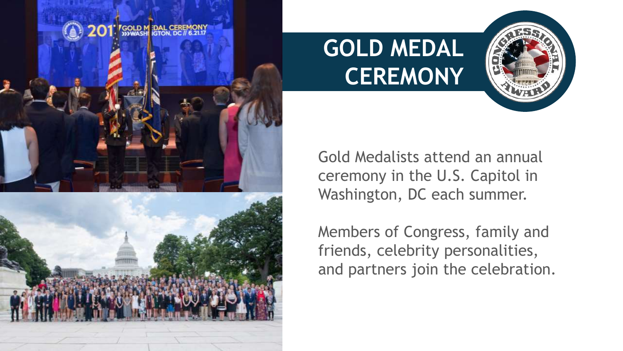



**GOLD MEDAL CEREMONY**



Gold Medalists attend an annual ceremony in the U.S. Capitol in Washington, DC each summer.

Members of Congress, family and friends, celebrity personalities, and partners join the celebration.